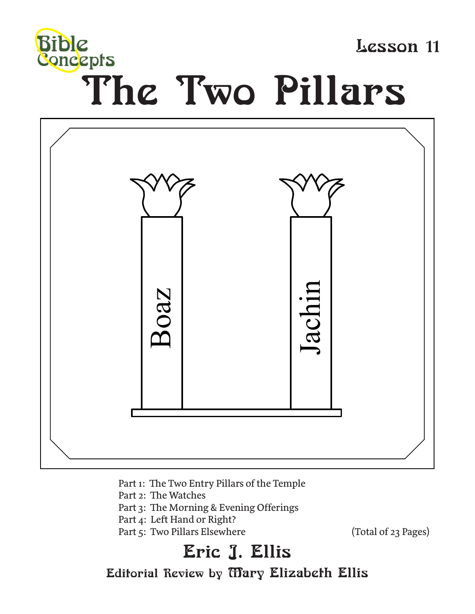

Lesson 11

# The Two Pillars



- Part 1: The Two Entry Pillars of the Temple
- Part 2: The Watches
- Part 3: The Morning & Evening Offerings
- Part 4: Left Hand or Right?
- Part 5: Two Pillars Elsewhere (Total of 23 Pages)

# Eric J. Ellis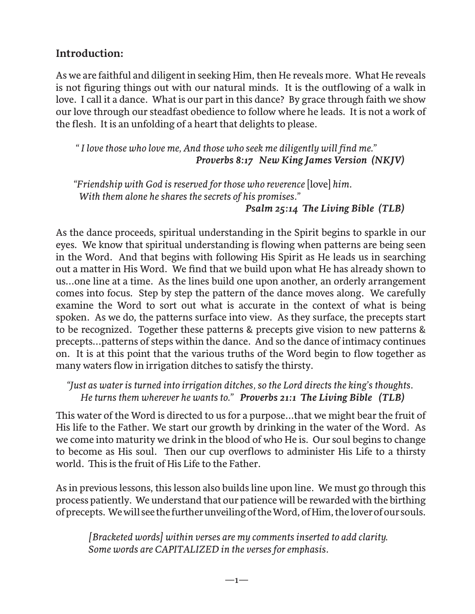#### **Introduction:**

As we are faithful and diligent in seeking Him, then He reveals more. What He reveals is not figuring things out with our natural minds. It is the outflowing of a walk in love. I call it a dance. What is our part in this dance? By grace through faith we show our love through our steadfast obedience to follow where he leads. It is not a work of the flesh. It is an unfolding of a heart that delights to please.

 *" I love those who love me, And those who seek me diligently will find me." Proverbs 8:17 New King James Version (NKJV)*

*"Friendship with God is reserved for those who reverence* [love] *him. With them alone he shares the secrets of his promises." Psalm 25:14 The Living Bible (TLB)*

As the dance proceeds, spiritual understanding in the Spirit begins to sparkle in our eyes. We know that spiritual understanding is flowing when patterns are being seen in the Word. And that begins with following His Spirit as He leads us in searching out a matter in His Word. We find that we build upon what He has already shown to us...one line at a time. As the lines build one upon another, an orderly arrangement comes into focus. Step by step the pattern of the dance moves along. We carefully examine the Word to sort out what is accurate in the context of what is being spoken. As we do, the patterns surface into view. As they surface, the precepts start to be recognized. Together these patterns & precepts give vision to new patterns & precepts...patterns of steps within the dance. And so the dance of intimacy continues on. It is at this point that the various truths of the Word begin to flow together as many waters flow in irrigation ditches to satisfy the thirsty.

 *"Just as water is turned into irrigation ditches, so the Lord directs the king's thoughts. He turns them wherever he wants to." Proverbs 21:1 The Living Bible (TLB)*

This water of the Word is directed to us for a purpose...that we might bear the fruit of His life to the Father. We start our growth by drinking in the water of the Word. As we come into maturity we drink in the blood of who He is. Our soul begins to change to become as His soul. Then our cup overflows to administer His Life to a thirsty world. This is the fruit of His Life to the Father.

As in previous lessons, this lesson also builds line upon line. We must go through this process patiently. We understand that our patience will be rewarded with the birthing of precepts. We will see the further unveiling of the Word, of Him, the lover of our souls.

*[Bracketed words] within verses are my comments inserted to add clarity. Some words are CAPITALIZED in the verses for emphasis.*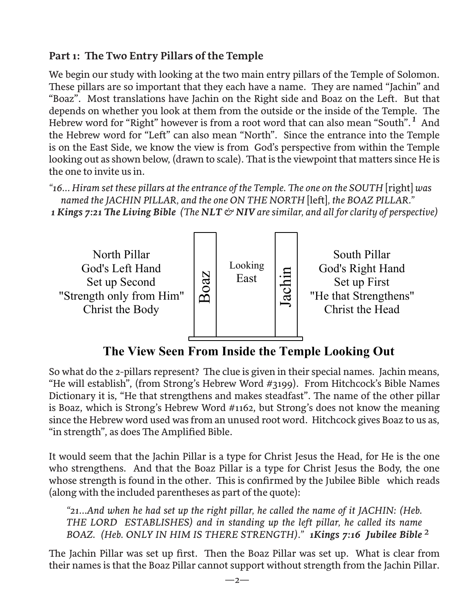# **Part 1: The Two Entry Pillars of the Temple**

We begin our study with looking at the two main entry pillars of the Temple of Solomon. These pillars are so important that they each have a name. They are named "Jachin" and "Boaz". Most translations have Jachin on the Right side and Boaz on the Left. But that depends on whether you look at them from the outside or the inside of the Temple. The Hebrew word for "Right" however is from a root word that can also mean "South". And *1*the Hebrew word for "Left" can also mean "North". Since the entrance into the Temple is on the East Side, we know the view is from God's perspective from within the Temple looking out as shown below, (drawn to scale). That is the viewpoint that matters since He is the one to invite us in.

*"16... Hiram set these pillars at the entrance of the Temple. The one on the SOUTH* [right] *was named the JACHIN PILLAR, and the one ON THE NORTH* [left]*, the BOAZ PILLAR." 1 Kings 7:21 The Living Bible (The NLT & NIV are similar, and all for clarity of perspective)*



**The View Seen From Inside the Temple Looking Out**

So what do the 2-pillars represent? The clue is given in their special names. Jachin means, "He will establish", (from Strong's Hebrew Word #3199). From Hitchcock's Bible Names Dictionary it is, "He that strengthens and makes steadfast". The name of the other pillar is Boaz, which is Strong's Hebrew Word #1162, but Strong's does not know the meaning since the Hebrew word used was from an unused root word. Hitchcock gives Boaz to us as, "in strength", as does The Amplified Bible.

It would seem that the Jachin Pillar is a type for Christ Jesus the Head, for He is the one who strengthens. And that the Boaz Pillar is a type for Christ Jesus the Body, the one whose strength is found in the other. This is confirmed by the Jubilee Bible which reads (along with the included parentheses as part of the quote):

2 *BOAZ. (Heb. ONLY IN HIM IS THERE STRENGTH)." 1Kings 7:16 Jubilee Bible "21...And when he had set up the right pillar, he called the name of it JACHIN: (Heb. THE LORD ESTABLISHES) and in standing up the left pillar, he called its name* 

The Jachin Pillar was set up first. Then the Boaz Pillar was set up. What is clear from their names is that the Boaz Pillar cannot support without strength from the Jachin Pillar.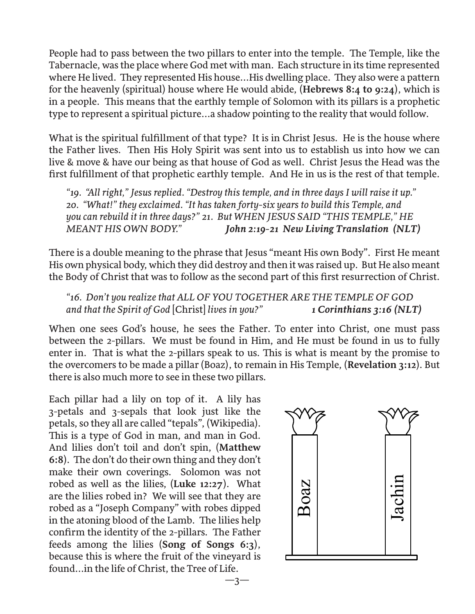People had to pass between the two pillars to enter into the temple. The Temple, like the Tabernacle, was the place where God met with man. Each structure in its time represented where He lived. They represented His house...His dwelling place. They also were a pattern for the heavenly (spiritual) house where He would abide, (**Hebrews 8:4 to 9:24**), which is in a people. This means that the earthly temple of Solomon with its pillars is a prophetic type to represent a spiritual picture...a shadow pointing to the reality that would follow.

What is the spiritual fulfillment of that type? It is in Christ Jesus. He is the house where the Father lives. Then His Holy Spirit was sent into us to establish us into how we can live & move & have our being as that house of God as well. Christ Jesus the Head was the first fulfillment of that prophetic earthly temple. And He in us is the rest of that temple.

*"19. "All right," Jesus replied. "Destroy this temple, and in three days I will raise it up." 20. "What!" they exclaimed. "It has taken forty-six years to build this Temple, and you can rebuild it in three days?" 21. But WHEN JESUS SAID "THIS TEMPLE," HE MEANT HIS OWN BODY." John 2:19-21 New Living Translation (NLT)*

There is a double meaning to the phrase that Jesus "meant His own Body". First He meant His own physical body, which they did destroy and then it was raised up. But He also meant the Body of Christ that was to follow as the second part of this first resurrection of Christ.

*"16. Don't you realize that ALL OF YOU TOGETHER ARE THE TEMPLE OF GOD and that the Spirit of God* [Christ] *lives in you?" 1 Corinthians 3:16 (NLT)* 

When one sees God's house, he sees the Father. To enter into Christ, one must pass between the 2-pillars. We must be found in Him, and He must be found in us to fully enter in. That is what the 2-pillars speak to us. This is what is meant by the promise to the overcomers to be made a pillar (Boaz), to remain in His Temple, (**Revelation 3:12**). But there is also much more to see in these two pillars.

Each pillar had a lily on top of it. A lily has 3-petals and 3-sepals that look just like the petals, so they all are called "tepals", (Wikipedia). This is a type of God in man, and man in God. And lilies don't toil and don't spin, (**Matthew 6:8**). The don't do their own thing and they don't make their own coverings. Solomon was not robed as well as the lilies, (**Luke 12:27**). What are the lilies robed in? We will see that they are robed as a "Joseph Company" with robes dipped in the atoning blood of the Lamb. The lilies help confirm the identity of the 2-pillars. The Father feeds among the lilies (**Song of Songs 6:3**), because this is where the fruit of the vineyard is found...in the life of Christ, the Tree of Life.

 $-3-$ 

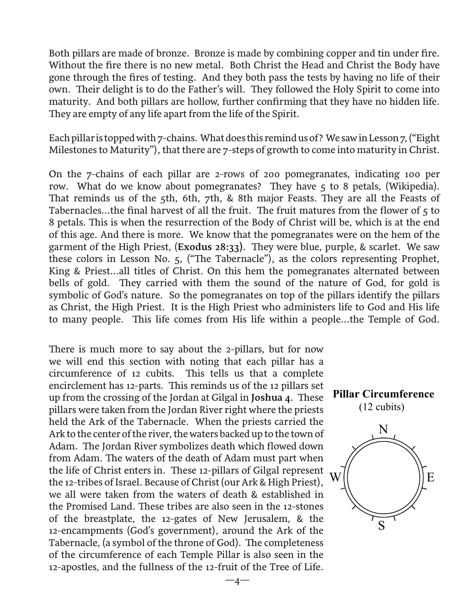Both pillars are made of bronze. Bronze is made by combining copper and tin under fire. Without the fire there is no new metal. Both Christ the Head and Christ the Body have gone through the fires of testing. And they both pass the tests by having no life of their own. Their delight is to do the Father's will. They followed the Holy Spirit to come into maturity. And both pillars are hollow, further confirming that they have no hidden life. They are empty of any life apart from the life of the Spirit.

Each pillar is topped with 7-chains. What does this remind us of? We saw in Lesson 7, ("Eight Milestones to Maturity"), that there are 7-steps of growth to come into maturity in Christ.

On the 7-chains of each pillar are 2-rows of 200 pomegranates, indicating 100 per row. What do we know about pomegranates? They have 5 to 8 petals, (Wikipedia). That reminds us of the 5th, 6th, 7th, & 8th major Feasts. They are all the Feasts of Tabernacles...the final harvest of all the fruit. The fruit matures from the flower of 5 to 8 petals. This is when the resurrection of the Body of Christ will be, which is at the end of this age. And there is more. We know that the pomegranates were on the hem of the garment of the High Priest, (**Exodus 28:33)**. They were blue, purple, & scarlet. We saw these colors in Lesson No. 5, ("The Tabernacle"), as the colors representing Prophet, King & Priest...all titles of Christ. On this hem the pomegranates alternated between bells of gold. They carried with them the sound of the nature of God, for gold is symbolic of God's nature. So the pomegranates on top of the pillars identify the pillars as Christ, the High Priest. It is the High Priest who administers life to God and His life to many people. This life comes from His life within a people...the Temple of God.

There is much more to say about the 2-pillars, but for now we will end this section with noting that each pillar has a circumference of 12 cubits. This tells us that a complete encirclement has 12-parts. This reminds us of the 12 pillars set up from the crossing of the Jordan at Gilgal in **Joshua 4**. These pillars were taken from the Jordan River right where the priests held the Ark of the Tabernacle. When the priests carried the Ark to the center of the river, the waters backed up to the town of Adam. The Jordan River symbolizes death which flowed down from Adam. The waters of the death of Adam must part when the life of Christ enters in. These 12-pillars of Gilgal represent the 12-tribes of Israel. Because of Christ (our Ark & High Priest), we all were taken from the waters of death & established in the Promised Land. These tribes are also seen in the 12-stones of the breastplate, the 12-gates of New Jerusalem, & the 12-encampments (God's government), around the Ark of the Tabernacle, (a symbol of the throne of God). The completeness of the circumference of each Temple Pillar is also seen in the 12-apostles, and the fullness of the 12-fruit of the Tree of Life.



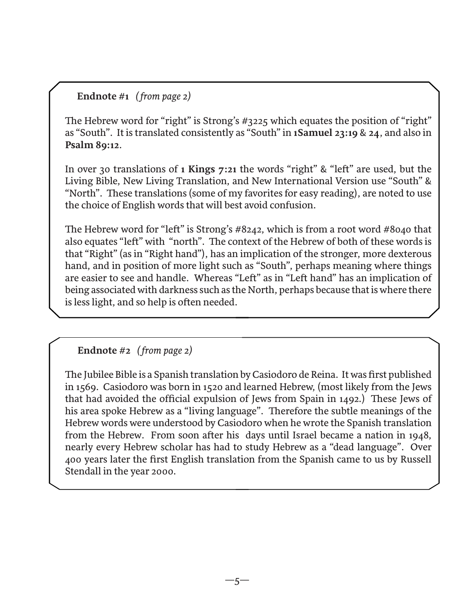#### **Endnote #1** *( from page 2)*

The Hebrew word for "right" is Strong's #3225 which equates the position of "right" as "South". It is translated consistently as "South" in **1Samuel 23:19** & **24**, and also in **Psalm 89:12**.

In over 30 translations of **1 Kings 7:21** the words "right" & "left" are used, but the Living Bible, New Living Translation, and New International Version use "South" & "North". These translations (some of my favorites for easy reading), are noted to use the choice of English words that will best avoid confusion.

The Hebrew word for "left" is Strong's #8242, which is from a root word #8040 that also equates "left" with "north". The context of the Hebrew of both of these words is that "Right" (as in "Right hand"), has an implication of the stronger, more dexterous hand, and in position of more light such as "South", perhaps meaning where things are easier to see and handle. Whereas "Left" as in "Left hand" has an implication of being associated with darkness such as the North, perhaps because that is where there is less light, and so help is often needed.

#### **Endnote #2** *( from page 2)*

The Jubilee Bible is a Spanish translation by Casiodoro de Reina. It was first published in 1569. Casiodoro was born in 1520 and learned Hebrew, (most likely from the Jews that had avoided the official expulsion of Jews from Spain in 1492.) These Jews of his area spoke Hebrew as a "living language". Therefore the subtle meanings of the Hebrew words were understood by Casiodoro when he wrote the Spanish translation from the Hebrew. From soon after his days until Israel became a nation in 1948, nearly every Hebrew scholar has had to study Hebrew as a "dead language". Over 400 years later the first English translation from the Spanish came to us by Russell Stendall in the year 2000.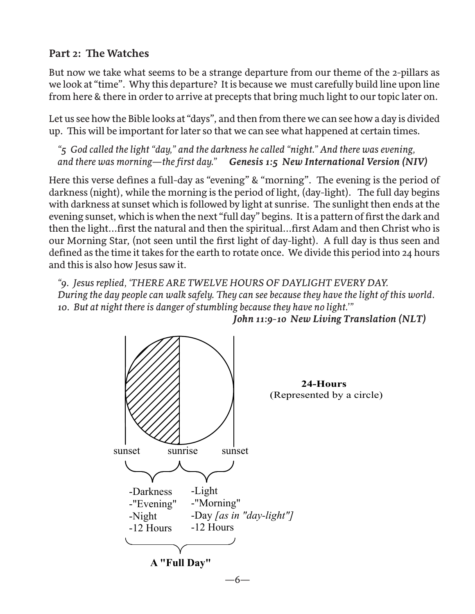#### **Part 2: The Watches**

But now we take what seems to be a strange departure from our theme of the 2-pillars as we look at "time". Why this departure? It is because we must carefully build line upon line from here & there in order to arrive at precepts that bring much light to our topic later on.

Let us see how the Bible looks at "days", and then from there we can see how a day is divided up. This will be important for later so that we can see what happened at certain times.

*"5 God called the light "day," and the darkness he called "night." And there was evening, and there was morning—the first day." Genesis 1:5 New International Version (NIV)*

Here this verse defines a full-day as "evening" & "morning". The evening is the period of darkness (night), while the morning is the period of light, (day-light). The full day begins with darkness at sunset which is followed by light at sunrise. The sunlight then ends at the evening sunset, which is when the next "full day" begins. It is a pattern of first the dark and then the light...first the natural and then the spiritual...first Adam and then Christ who is our Morning Star, (not seen until the first light of day-light). A full day is thus seen and defined as the time it takes for the earth to rotate once. We divide this period into 24 hours and this is also how Jesus saw it.

*"9. Jesus replied, 'THERE ARE TWELVE HOURS OF DAYLIGHT EVERY DAY. During the day people can walk safely. They can see because they have the light of this world. 10. But at night there is danger of stumbling because they have no light.'"*



 *John 11:9-10 New Living Translation (NLT)*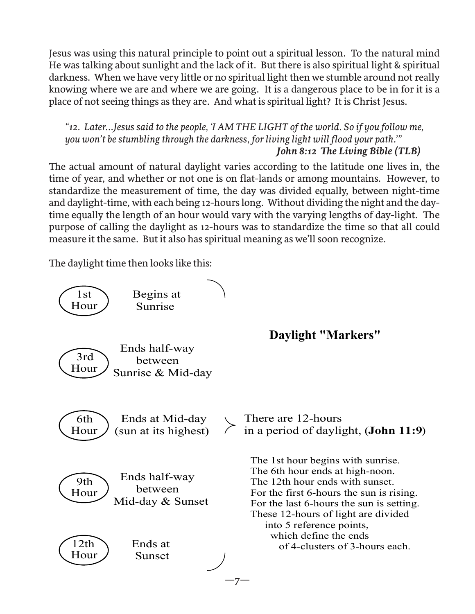Jesus was using this natural principle to point out a spiritual lesson. To the natural mind He was talking about sunlight and the lack of it. But there is also spiritual light & spiritual darkness. When we have very little or no spiritual light then we stumble around not really knowing where we are and where we are going. It is a dangerous place to be in for it is a place of not seeing things as they are. And what is spiritual light? It is Christ Jesus.

*"12. Later...Jesus said to the people, 'I AM THE LIGHT of the world. So if you follow me, you won't be stumbling through the darkness, for living light will flood your path.'" John 8:12 The Living Bible (TLB)* 

The actual amount of natural daylight varies according to the latitude one lives in, the time of year, and whether or not one is on flat-lands or among mountains. However, to standardize the measurement of time, the day was divided equally, between night-time and daylight-time, with each being 12-hours long. Without dividing the night and the daytime equally the length of an hour would vary with the varying lengths of day-light. The purpose of calling the daylight as 12-hours was to standardize the time so that all could measure it the same. But it also has spiritual meaning as we'll soon recognize.

The daylight time then looks like this:

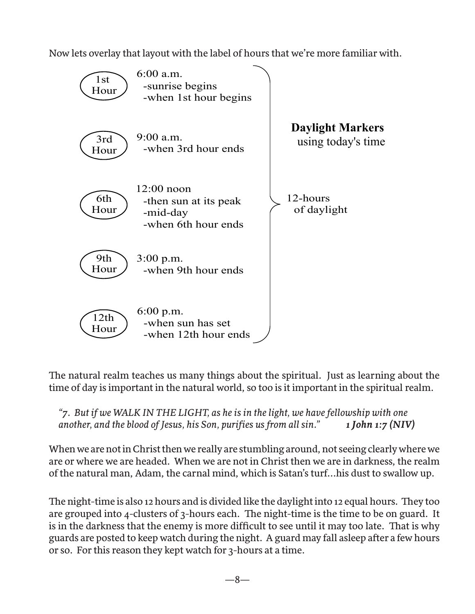Now lets overlay that layout with the label of hours that we're more familiar with.



The natural realm teaches us many things about the spiritual. Just as learning about the time of day is important in the natural world, so too is it important in the spiritual realm.

*"7. But if we WALK IN THE LIGHT, as he is in the light, we have fellowship with one another, and the blood of Jesus, his Son, purifies us from all sin." 1 John 1:7 (NIV)* 

When we are not in Christ then we really are stumbling around, not seeing clearly where we are or where we are headed. When we are not in Christ then we are in darkness, the realm of the natural man, Adam, the carnal mind, which is Satan's turf...his dust to swallow up.

The night-time is also 12 hours and is divided like the daylight into 12 equal hours. They too are grouped into 4-clusters of 3-hours each. The night-time is the time to be on guard. It is in the darkness that the enemy is more difficult to see until it may too late. That is why guards are posted to keep watch during the night. A guard may fall asleep after a few hours or so. For this reason they kept watch for 3-hours at a time.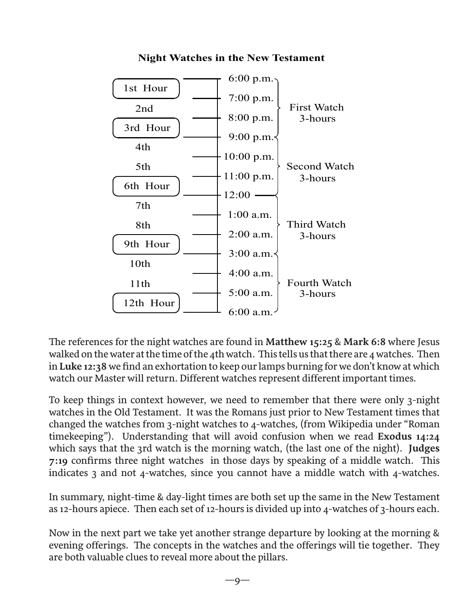

#### **Night Watches in the New Testament**

The references for the night watches are found in **Matthew 15:25** & **Mark 6:8** where Jesus walked on the water at the time of the 4th watch. This tells us that there are 4 watches. Then in **Luke 12:38** we find an exhortation to keep our lamps burning for we don't know at which watch our Master will return. Different watches represent different important times.

To keep things in context however, we need to remember that there were only 3-night watches in the Old Testament. It was the Romans just prior to New Testament times that changed the watches from 3-night watches to 4-watches, (from Wikipedia under "Roman timekeeping"). Understanding that will avoid confusion when we read **Exodus 14:24** which says that the 3rd watch is the morning watch, (the last one of the night). **Judges 7:19** confirms three night watches in those days by speaking of a middle watch. This indicates 3 and not 4-watches, since you cannot have a middle watch with 4-watches.

In summary, night-time & day-light times are both set up the same in the New Testament as 12-hours apiece. Then each set of 12-hours is divided up into 4-watches of 3-hours each.

Now in the next part we take yet another strange departure by looking at the morning & evening offerings. The concepts in the watches and the offerings will tie together. They are both valuable clues to reveal more about the pillars.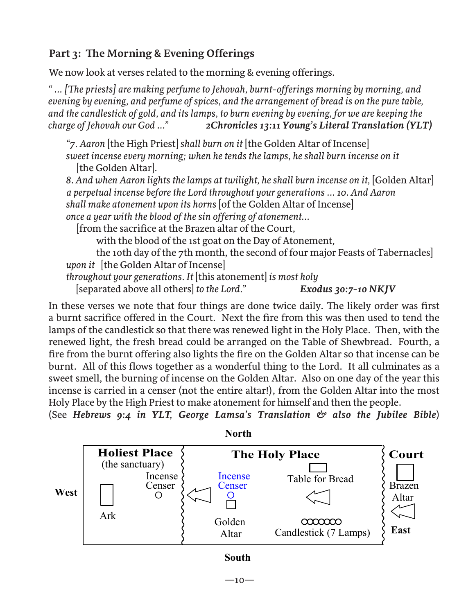# **Part 3: The Morning & Evening Offerings**

We now look at verses related to the morning & evening offerings.

*" ... [The priests] are making perfume to Jehovah, burnt-offerings morning by morning, and evening by evening, and perfume of spices, and the arrangement of bread is on the pure table, and the candlestick of gold, and its lamps, to burn evening by evening, for we are keeping the charge of Jehovah our God ..." 2Chronicles 13:11 Young's Literal Translation (YLT)*

*"7. Aaron* [the High Priest] *shall burn on it* [the Golden Altar of Incense] *sweet incense every morning; when he tends the lamps, he shall burn incense on it*  [the Golden Altar]*.*

8. And when Aaron lights the lamps at twilight, he shall burn incense on it, [Golden Altar]  *a perpetual incense before the Lord throughout your generations ... 10. And Aaron shall make atonement upon its horns* [of the Golden Altar of Incense] *once a year with the blood of the sin offering of atonement...*

[from the sacrifice at the Brazen altar of the Court,

with the blood of the 1st goat on the Day of Atonement,

 the 10th day of the 7th month, the second of four major Feasts of Tabernacles] *upon it* [the Golden Altar of Incense]

*throughout your generations. It* [this atonement] *is most holy* 

[separated above all others] *to the Lord." Exodus 30:7-10 NKJV*

In these verses we note that four things are done twice daily. The likely order was first a burnt sacrifice offered in the Court. Next the fire from this was then used to tend the lamps of the candlestick so that there was renewed light in the Holy Place. Then, with the renewed light, the fresh bread could be arranged on the Table of Shewbread. Fourth, a fire from the burnt offering also lights the fire on the Golden Altar so that incense can be burnt. All of this flows together as a wonderful thing to the Lord. It all culminates as a sweet smell, the burning of incense on the Golden Altar. Also on one day of the year this incense is carried in a censer (not the entire altar!), from the Golden Altar into the most Holy Place by the High Priest to make atonement for himself and then the people.

(See *Hebrews 9:4 in YLT, George Lamsa's Translation & also the Jubilee Bible*)



**South**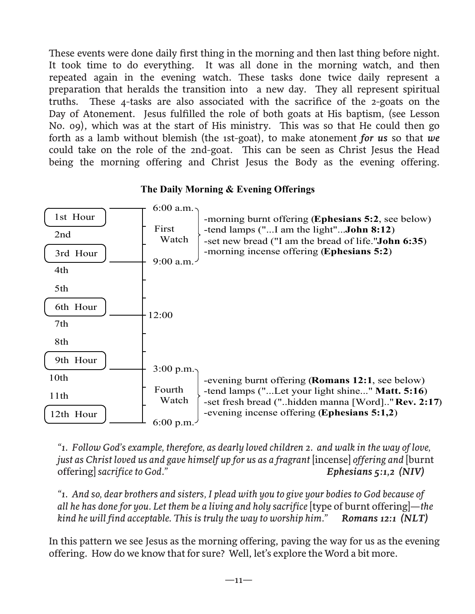These events were done daily first thing in the morning and then last thing before night. It took time to do everything. It was all done in the morning watch, and then repeated again in the evening watch. These tasks done twice daily represent a preparation that heralds the transition into a new day. They all represent spiritual truths. These 4-tasks are also associated with the sacrifice of the 2-goats on the Day of Atonement. Jesus fulfilled the role of both goats at His baptism, (see Lesson No. 09), which was at the start of His ministry. This was so that He could then go forth as a lamb without blemish (the 1st-goat), to make atonement *for us* so that *we* could take on the role of the 2nd-goat. This can be seen as Christ Jesus the Head being the morning offering and Christ Jesus the Body as the evening offering.



**The Daily Morning & Evening Offerings**

*"1. Follow God's example, therefore, as dearly loved children 2. and walk in the way of love, just as Christ loved us and gave himself up for us as a fragrant [incense] offering and [burnt* offering] *sacrifice to God." Ephesians 5:1,2 (NIV)*

*"1. And so, dear brothers and sisters, I plead with you to give your bodies to God because of all he has done for you. Let them be a living and holy sacrifice* [type of burnt offering]*—the kind he will find acceptable. This is truly the way to worship him." Romans 12:1 (NLT)*

In this pattern we see Jesus as the morning offering, paving the way for us as the evening offering. How do we know that for sure? Well, let's explore the Word a bit more.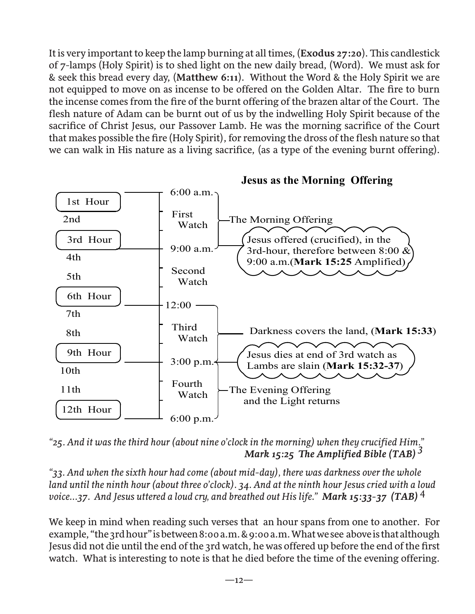It is very important to keep the lamp burning at all times, (**Exodus 27:20**). This candlestick of 7-lamps (Holy Spirit) is to shed light on the new daily bread, (Word). We must ask for & seek this bread every day, (**Matthew 6:11**). Without the Word & the Holy Spirit we are not equipped to move on as incense to be offered on the Golden Altar. The fire to burn the incense comes from the fire of the burnt offering of the brazen altar of the Court. The flesh nature of Adam can be burnt out of us by the indwelling Holy Spirit because of the sacrifice of Christ Jesus, our Passover Lamb. He was the morning sacrifice of the Court that makes possible the fire (Holy Spirit), for removing the dross of the flesh nature so that we can walk in His nature as a living sacrifice, (as a type of the evening burnt offering).



**Jesus as the Morning Offering**

*"25. And it was the third hour (about nine o'clock in the morning) when they crucified Him." Mark 15:25 The Amplified Bible (TAB)*<sup>3</sup>

*"33. And when the sixth hour had come (about mid-day), there was darkness over the whole land until the ninth hour (about three o'clock). 34. And at the ninth hour Jesus cried with a loud voice...37. And Jesus uttered a loud cry, and breathed out His life." Mark 15:33-37 (TAB)* 4

We keep in mind when reading such verses that an hour spans from one to another. For example, "the 3rd hour" is between 8:00 a.m. & 9:00 a.m. What we see above is that although Jesus did not die until the end of the 3rd watch, he was offered up before the end of the first watch. What is interesting to note is that he died before the time of the evening offering.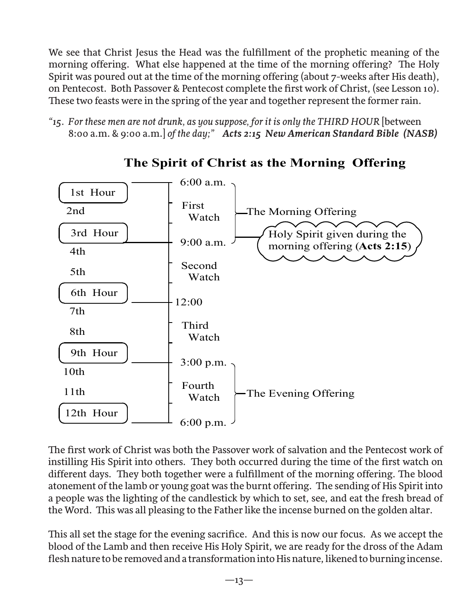We see that Christ Jesus the Head was the fulfillment of the prophetic meaning of the morning offering. What else happened at the time of the morning offering? The Holy Spirit was poured out at the time of the morning offering (about 7-weeks after His death), on Pentecost. Both Passover & Pentecost complete the first work of Christ, (see Lesson 10). These two feasts were in the spring of the year and together represent the former rain.

*"15. For these men are not drunk, as you suppose, for it is only the THIRD HOUR* [between 8:00 a.m. & 9:00 a.m.] *of the day;" Acts 2:15 New American Standard Bible (NASB)*



# **The Spirit of Christ as the Morning Offering**

The first work of Christ was both the Passover work of salvation and the Pentecost work of instilling His Spirit into others. They both occurred during the time of the first watch on different days. They both together were a fulfillment of the morning offering. The blood atonement of the lamb or young goat was the burnt offering. The sending of His Spirit into a people was the lighting of the candlestick by which to set, see, and eat the fresh bread of the Word. This was all pleasing to the Father like the incense burned on the golden altar.

This all set the stage for the evening sacrifice. And this is now our focus. As we accept the blood of the Lamb and then receive His Holy Spirit, we are ready for the dross of the Adam flesh nature to be removed and a transformation into His nature, likened to burning incense.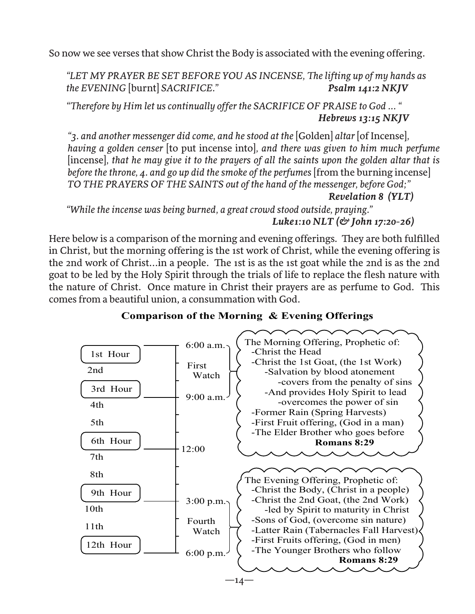So now we see verses that show Christ the Body is associated with the evening offering.

*"LET MY PRAYER BE SET BEFORE YOU AS INCENSE, The lifting up of my hands as the EVENING* [burnt] *SACRIFICE." Psalm 141:2 NKJV*

*"Therefore by Him let us continually offer the SACRIFICE OF PRAISE to God ... " Hebrews 13:15 NKJV*

*"3. and another messenger did come, and he stood at the* [Golden] *altar* [of Incense]*, having a golden censer* [to put incense into]*, and there was given to him much perfume*  [incense]*, that he may give it to the prayers of all the saints upon the golden altar that is before the throne, 4. and go up did the smoke of the perfumes* [from the burning incense] *TO THE PRAYERS OF THE SAINTS out of the hand of the messenger, before God;"* 

 *Revelation 8 (YLT)*

*"While the incense was being burned, a great crowd stood outside, praying." Luke1:10 NLT (& John 17:20-26)*

Here below is a comparison of the morning and evening offerings. They are both fulfilled in Christ, but the morning offering is the 1st work of Christ, while the evening offering is the 2nd work of Christ...in a people. The 1st is as the 1st goat while the 2nd is as the 2nd goat to be led by the Holy Spirit through the trials of life to replace the flesh nature with the nature of Christ. Once mature in Christ their prayers are as perfume to God. This comes from a beautiful union, a consummation with God.



#### **Comparison of the Morning & Evening Offerings**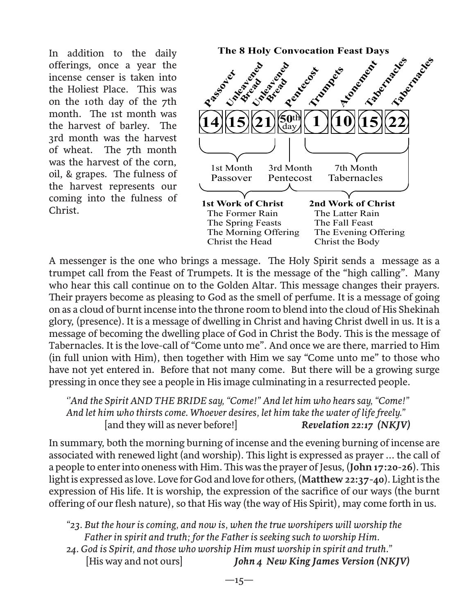offerings, once a year the incense censer is taken into the Holiest Place. This was on the 10th day of the 7th month. The 1st month was the harvest of barley. The 3rd month was the harvest of wheat. The 7th month was the harvest of the corn, oil, & grapes. The fulness of the harvest represents our coming into the fulness of Christ.



A messenger is the one who brings a message. The Holy Spirit sends a message as a trumpet call from the Feast of Trumpets. It is the message of the "high calling". Many who hear this call continue on to the Golden Altar. This message changes their prayers. Their prayers become as pleasing to God as the smell of perfume. It is a message of going on as a cloud of burnt incense into the throne room to blend into the cloud of His Shekinah glory, (presence). It is a message of dwelling in Christ and having Christ dwell in us. It is a message of becoming the dwelling place of God in Christ the Body. This is the message of Tabernacles. It is the love-call of "Come unto me". And once we are there, married to Him (in full union with Him), then together with Him we say "Come unto me" to those who have not yet entered in. Before that not many come. But there will be a growing surge pressing in once they see a people in His image culminating in a resurrected people.

*''And the Spirit AND THE BRIDE say, "Come!" And let him who hears say, "Come!" And let him who thirsts come. Whoever desires, let him take the water of life freely."* [and they will as never before!] *Revelation 22:17 (NKJV)*

In summary, both the morning burning of incense and the evening burning of incense are associated with renewed light (and worship). This light is expressed as prayer ... the call of a people to enter into oneness with Him. This was the prayer of Jesus, (**John 17:20-26**). This light is expressed as love. Love for God and love for others, (**Matthew 22:37-40**). Light is the expression of His life. It is worship, the expression of the sacrifice of our ways (the burnt offering of our flesh nature), so that His way (the way of His Spirit), may come forth in us.

*"23. But the hour is coming, and now is, when the true worshipers will worship the Father in spirit and truth; for the Father is seeking such to worship Him.* 

*24. God is Spirit, and those who worship Him must worship in spirit and truth."*  [His way and not ours] *John 4 New King James Version (NKJV)*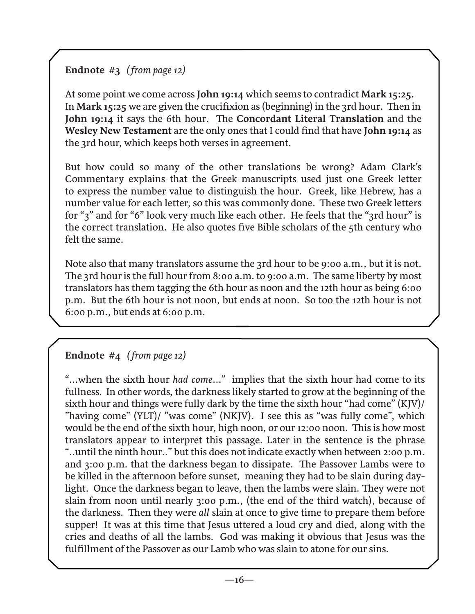## **Endnote #3** *( from page 12)*

At some point we come across **John 19:14** which seems to contradict **Mark 15:25.**  In **Mark 15:25** we are given the crucifixion as (beginning) in the 3rd hour. Then in **John 19:14** it says the 6th hour. The **Concordant Literal Translation** and the **Wesley New Testament** are the only ones that I could find that have **John 19:14** as the 3rd hour, which keeps both verses in agreement.

But how could so many of the other translations be wrong? Adam Clark's Commentary explains that the Greek manuscripts used just one Greek letter to express the number value to distinguish the hour. Greek, like Hebrew, has a number value for each letter, so this was commonly done. These two Greek letters for "3" and for "6" look very much like each other. He feels that the "3rd hour" is the correct translation. He also quotes five Bible scholars of the 5th century who felt the same.

Note also that many translators assume the 3rd hour to be 9:00 a.m., but it is not. The 3rd hour is the full hour from 8:00 a.m. to 9:00 a.m. The same liberty by most translators has them tagging the 6th hour as noon and the 12th hour as being 6:00 p.m. But the 6th hour is not noon, but ends at noon. So too the 12th hour is not 6:00 p.m., but ends at 6:00 p.m.

## **Endnote #4** *( from page 12)*

"...when the sixth hour *had come*..." implies that the sixth hour had come to its fullness. In other words, the darkness likely started to grow at the beginning of the sixth hour and things were fully dark by the time the sixth hour "had come" (KJV)/ "having come" (YLT)/ "was come" (NKJV). I see this as "was fully come", which would be the end of the sixth hour, high noon, or our 12:00 noon. This is how most translators appear to interpret this passage. Later in the sentence is the phrase "..until the ninth hour.." but this does not indicate exactly when between 2:00 p.m. and 3:00 p.m. that the darkness began to dissipate. The Passover Lambs were to be killed in the afternoon before sunset, meaning they had to be slain during daylight. Once the darkness began to leave, then the lambs were slain. They were not slain from noon until nearly 3:00 p.m., (the end of the third watch), because of the darkness. Then they were *all* slain at once to give time to prepare them before supper! It was at this time that Jesus uttered a loud cry and died, along with the cries and deaths of all the lambs. God was making it obvious that Jesus was the fulfillment of the Passover as our Lamb who was slain to atone for our sins.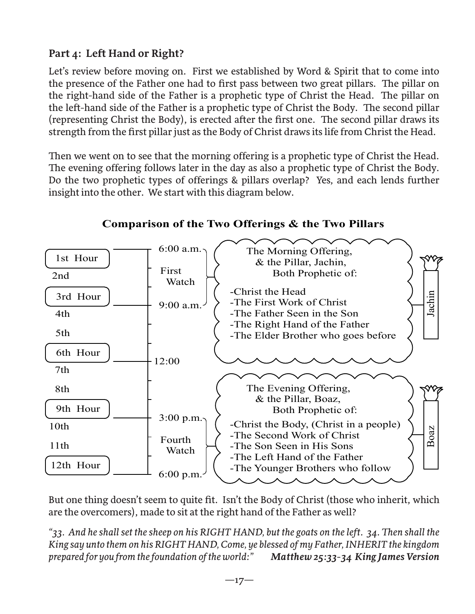# **Part 4: Left Hand or Right?**

Let's review before moving on. First we established by Word & Spirit that to come into the presence of the Father one had to first pass between two great pillars. The pillar on the right-hand side of the Father is a prophetic type of Christ the Head. The pillar on the left-hand side of the Father is a prophetic type of Christ the Body. The second pillar (representing Christ the Body), is erected after the first one. The second pillar draws its strength from the first pillar just as the Body of Christ draws its life from Christ the Head.

Then we went on to see that the morning offering is a prophetic type of Christ the Head. The evening offering follows later in the day as also a prophetic type of Christ the Body. Do the two prophetic types of offerings & pillars overlap? Yes, and each lends further insight into the other. We start with this diagram below.



#### **Comparison of the Two Offerings & the Two Pillars**

But one thing doesn't seem to quite fit. Isn't the Body of Christ (those who inherit, which are the overcomers), made to sit at the right hand of the Father as well?

*"33. And he shall set the sheep on his RIGHT HAND, but the goats on the left. 34. Then shall the King say unto them on his RIGHT HAND, Come, ye blessed of my Father, INHERIT the kingdom prepared for you from the foundation of the world:" Matthew 25:33-34 King James Version*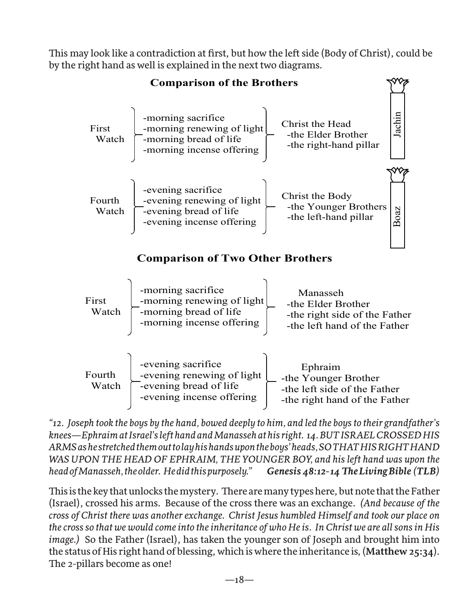This may look like a contradiction at first, but how the left side (Body of Christ), could be by the right hand as well is explained in the next two diagrams.



*"12. Joseph took the boys by the hand, bowed deeply to him, and led the boys to their grandfather's knees—Ephraim at Israel's left hand and Manasseh at his right. 14. BUT ISRAEL CROSSED HIS ARMS as he stretched them out to lay his hands upon the boys' heads, SO THAT HIS RIGHT HAND*  WAS UPON THE HEAD OF EPHRAIM, THE YOUNGER BOY, and his left hand was upon the *head of Manasseh, the older. He did this purposely." Genesis 48:12-14 The Living Bible (TLB)*

This is the key that unlocks the mystery. There are many types here, but note that the Father (Israel), crossed his arms. Because of the cross there was an exchange. *(And because of the cross of Christ there was another exchange. Christ Jesus humbled Himself and took our place on the cross so that we would come into the inheritance of who He is. In Christ we are all sons in His image.)* So the Father (Israel), has taken the younger son of Joseph and brought him into the status of His right hand of blessing, which is where the inheritance is, (**Matthew 25:34**). The 2-pillars become as one!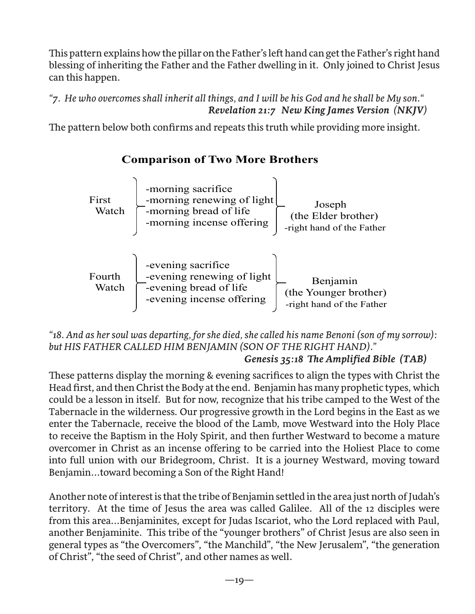This pattern explains how the pillar on the Father's left hand can get the Father's right hand blessing of inheriting the Father and the Father dwelling in it. Only joined to Christ Jesus can this happen.

*"7. He who overcomes shall inherit all things, and I will be his God and he shall be My son." Revelation 21:7 New King James Version (NKJV)* 

The pattern below both confirms and repeats this truth while providing more insight.

# **Comparison of Two More Brothers**



#### *"18. And as her soul was departing, for she died, she called his name Benoni (son of my sorrow): but HIS FATHER CALLED HIM BENJAMIN (SON OF THE RIGHT HAND)." Genesis 35:18 The Amplified Bible (TAB)*

These patterns display the morning & evening sacrifices to align the types with Christ the Head first, and then Christ the Body at the end. Benjamin has many prophetic types, which could be a lesson in itself. But for now, recognize that his tribe camped to the West of the Tabernacle in the wilderness. Our progressive growth in the Lord begins in the East as we enter the Tabernacle, receive the blood of the Lamb, move Westward into the Holy Place to receive the Baptism in the Holy Spirit, and then further Westward to become a mature overcomer in Christ as an incense offering to be carried into the Holiest Place to come into full union with our Bridegroom, Christ. It is a journey Westward, moving toward Benjamin...toward becoming a Son of the Right Hand!

Another note of interest is that the tribe of Benjamin settled in the area just north of Judah's territory. At the time of Jesus the area was called Galilee. All of the 12 disciples were from this area...Benjaminites, except for Judas Iscariot, who the Lord replaced with Paul, another Benjaminite. This tribe of the "younger brothers" of Christ Jesus are also seen in general types as "the Overcomers", "the Manchild", "the New Jerusalem", "the generation of Christ", "the seed of Christ", and other names as well.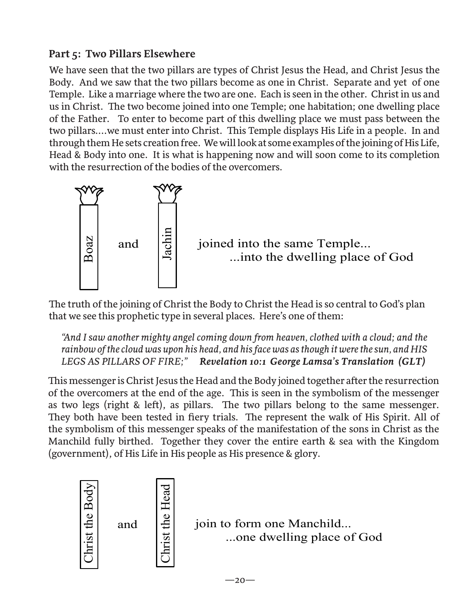# **Part 5: Two Pillars Elsewhere**

We have seen that the two pillars are types of Christ Jesus the Head, and Christ Jesus the Body. And we saw that the two pillars become as one in Christ. Separate and yet of one Temple. Like a marriage where the two are one. Each is seen in the other. Christ in us and us in Christ. The two become joined into one Temple; one habitation; one dwelling place of the Father. To enter to become part of this dwelling place we must pass between the two pillars....we must enter into Christ. This Temple displays His Life in a people. In and through them He sets creation free. We will look at some examples of the joining of His Life, Head & Body into one. It is what is happening now and will soon come to its completion with the resurrection of the bodies of the overcomers.



The truth of the joining of Christ the Body to Christ the Head is so central to God's plan that we see this prophetic type in several places. Here's one of them:

*"And I saw another mighty angel coming down from heaven, clothed with a cloud; and the rainbow of the cloud was upon his head, and his face was as though it were the sun, and HIS LEGS AS PILLARS OF FIRE;" Revelation 10:1 George Lamsa's Translation (GLT)*

This messenger is Christ Jesus the Head and the Body joined together after the resurrection of the overcomers at the end of the age. This is seen in the symbolism of the messenger as two legs (right & left), as pillars. The two pillars belong to the same messenger. They both have been tested in fiery trials. The represent the walk of His Spirit. All of the symbolism of this messenger speaks of the manifestation of the sons in Christ as the Manchild fully birthed. Together they cover the entire earth & sea with the Kingdom (government), of His Life in His people as His presence & glory.



join to form one Manchild... ...one dwelling place of God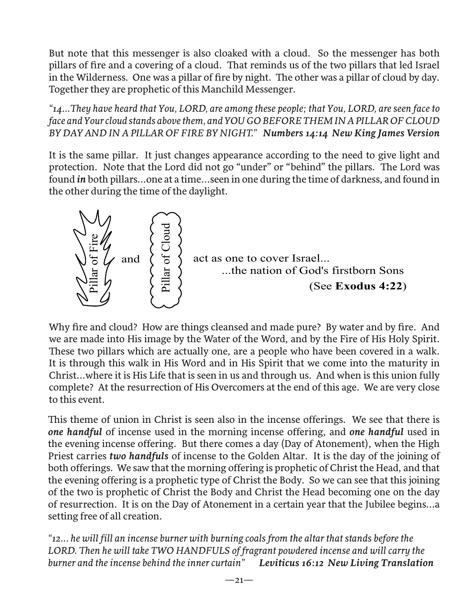But note that this messenger is also cloaked with a cloud. So the messenger has both pillars of fire and a covering of a cloud. That reminds us of the two pillars that led Israel in the Wilderness. One was a pillar of fire by night. The other was a pillar of cloud by day. Together they are prophetic of this Manchild Messenger.

*"14...They have heard that You, LORD, are among these people; that You, LORD, are seen face to face and Your cloud stands above them, and YOU GO BEFORE THEM IN A PILLAR OF CLOUD BY DAY AND IN A PILLAR OF FIRE BY NIGHT." Numbers 14:14 New King James Version*

It is the same pillar. It just changes appearance according to the need to give light and protection. Note that the Lord did not go "under" or "behind" the pillars. The Lord was found *in* both pillars...one at a time...seen in one during the time of darkness, and found in the other during the time of the daylight.



Why fire and cloud? How are things cleansed and made pure? By water and by fire. And we are made into His image by the Water of the Word, and by the Fire of His Holy Spirit. These two pillars which are actually one, are a people who have been covered in a walk. It is through this walk in His Word and in His Spirit that we come into the maturity in Christ...where it is His Life that is seen in us and through us. And when is this union fully complete? At the resurrection of His Overcomers at the end of this age. We are very close to this event.

This theme of union in Christ is seen also in the incense offerings. We see that there is *one handful* of incense used in the morning incense offering, and *one handful* used in the evening incense offering. But there comes a day (Day of Atonement), when the High Priest carries *two handfuls* of incense to the Golden Altar. It is the day of the joining of both offerings. We saw that the morning offering is prophetic of Christ the Head, and that the evening offering is a prophetic type of Christ the Body. So we can see that this joining of the two is prophetic of Christ the Body and Christ the Head becoming one on the day of resurrection. It is on the Day of Atonement in a certain year that the Jubilee begins...a setting free of all creation.

*"12... he will fill an incense burner with burning coals from the altar that stands before the LORD. Then he will take TWO HANDFULS of fragrant powdered incense and will carry the burner and the incense behind the inner curtain" Leviticus 16:12 New Living Translation*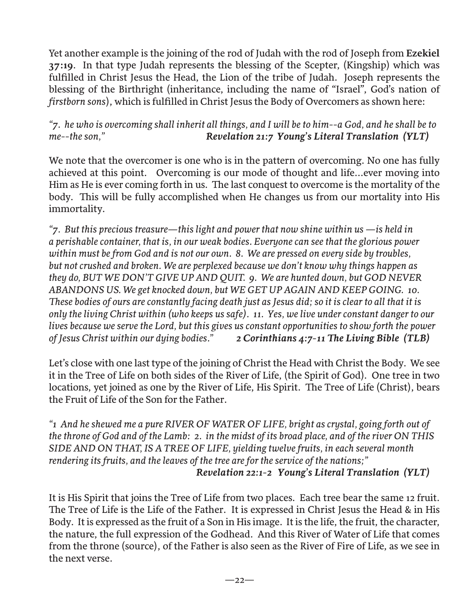Yet another example is the joining of the rod of Judah with the rod of Joseph from **Ezekiel 37:19**. In that type Judah represents the blessing of the Scepter, (Kingship) which was fulfilled in Christ Jesus the Head, the Lion of the tribe of Judah. Joseph represents the blessing of the Birthright (inheritance, including the name of "Israel", God's nation of *firstborn sons*), which is fulfilled in Christ Jesus the Body of Overcomers as shown here:

#### *"7. he who is overcoming shall inherit all things, and I will be to him--a God, and he shall be to me--the son," Revelation 21:7 Young's Literal Translation (YLT)*

We note that the overcomer is one who is in the pattern of overcoming. No one has fully achieved at this point. Overcoming is our mode of thought and life...ever moving into Him as He is ever coming forth in us. The last conquest to overcome is the mortality of the body. This will be fully accomplished when He changes us from our mortality into His immortality.

*"7. But this precious treasure—this light and power that now shine within us —is held in a perishable container, that is, in our weak bodies. Everyone can see that the glorious power within must be from God and is not our own. 8. We are pressed on every side by troubles, but not crushed and broken. We are perplexed because we don't know why things happen as they do, BUT WE DON'T GIVE UP AND QUIT. 9. We are hunted down, but GOD NEVER ABANDONS US. We get knocked down, but WE GET UP AGAIN AND KEEP GOING. 10. These bodies of ours are constantly facing death just as Jesus did; so it is clear to all that it is only the living Christ within (who keeps us safe). 11. Yes, we live under constant danger to our lives because we serve the Lord, but this gives us constant opportunities to show forth the power of Jesus Christ within our dying bodies." 2 Corinthians 4:7-11 The Living Bible (TLB)* 

Let's close with one last type of the joining of Christ the Head with Christ the Body. We see it in the Tree of Life on both sides of the River of Life, (the Spirit of God). One tree in two locations, yet joined as one by the River of Life, His Spirit. The Tree of Life (Christ), bears the Fruit of Life of the Son for the Father.

*"1 And he shewed me a pure RIVER OF WATER OF LIFE, bright as crystal, going forth out of the throne of God and of the Lamb: 2. in the midst of its broad place, and of the river ON THIS SIDE AND ON THAT, IS A TREE OF LIFE, yielding twelve fruits, in each several month rendering its fruits, and the leaves of the tree are for the service of the nations;"* 

 *Revelation 22:1-2 Young's Literal Translation (YLT)* 

It is His Spirit that joins the Tree of Life from two places. Each tree bear the same 12 fruit. The Tree of Life is the Life of the Father. It is expressed in Christ Jesus the Head & in His Body. It is expressed as the fruit of a Son in His image. It is the life, the fruit, the character, the nature, the full expression of the Godhead. And this River of Water of Life that comes from the throne (source), of the Father is also seen as the River of Fire of Life, as we see in the next verse.